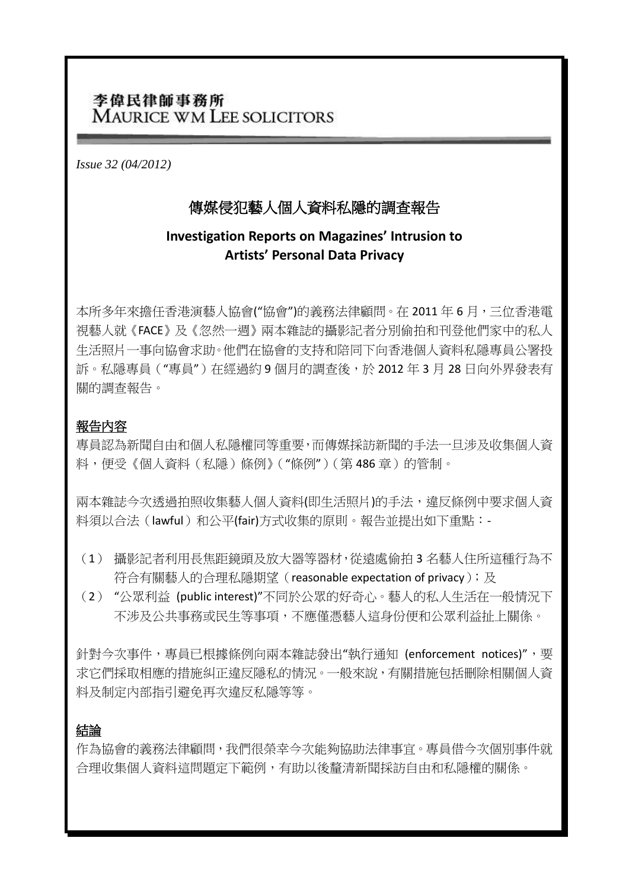# 李偉民律師事務所 MAURICE WM LEE SOLICITORS

*Issue 32 (04/2012)*

# 傳媒侵犯藝人個人資料私隱的調查報告

## **Investigation Reports on Magazines' Intrusion to Artists' Personal Data Privacy**

本所多年來擔任香港演藝人協會("協會")的義務法律顧問。在 2011 年 6 月,三位香港電 視藝人就《FACE》及《忽然一週》兩本雜誌的攝影記者分別偷拍和刊登他們家中的私人 生活照片一事向協會求助。他們在協會的支持和陪同下向香港個人資料私隱專員公署投 訴。私隱專員("專員")在經過約 9 個月的調查後,於 2012 年 3 月 28 日向外界發表有 關的調查報告。

## 報告內容

專員認為新聞自由和個人私隱權同等重要,而傳媒採訪新聞的手法一旦涉及收集個人資 料,便受《個人資料(私隱)條例》("條例")(第486章)的管制。

兩本雜誌今次透過拍照收集藝人個人資料(即生活照片)的手法,違反條例中要求個人資 料須以合法(lawful)和公平(fair)方式收集的原則。報告並提出如下重點:-

- (1) 攝影記者利用長焦距鏡頭及放大器等器材,從遠處偷拍 3 名藝人住所這種行為不 符合有關藝人的合理私隱期望 (reasonable expectation of privacy); 及
- (2) "公眾利益 (public interest)"不同於公眾的好奇心。藝人的私人生活在一般情況下 不涉及公共事務或民生等事項,不應僅憑藝人這身份便和公眾利益扯上關係。

針對今次事件,專員已根據條例向兩本雜誌發出"執行涌知 (enforcement notices)",要 求它們採取相應的措施糾正違反隱私的情況。一般來說,有關措施包括刪除相關個人資 料及制定內部指引避免再次違反私隱等等。

### 結論

作為協會的義務法律顧問,我們很榮幸今次能夠協助法律事宜。專員借今次個別事件就 合理收集個人資料這問題定下範例,有助以後釐清新聞採訪自由和私隱權的關係。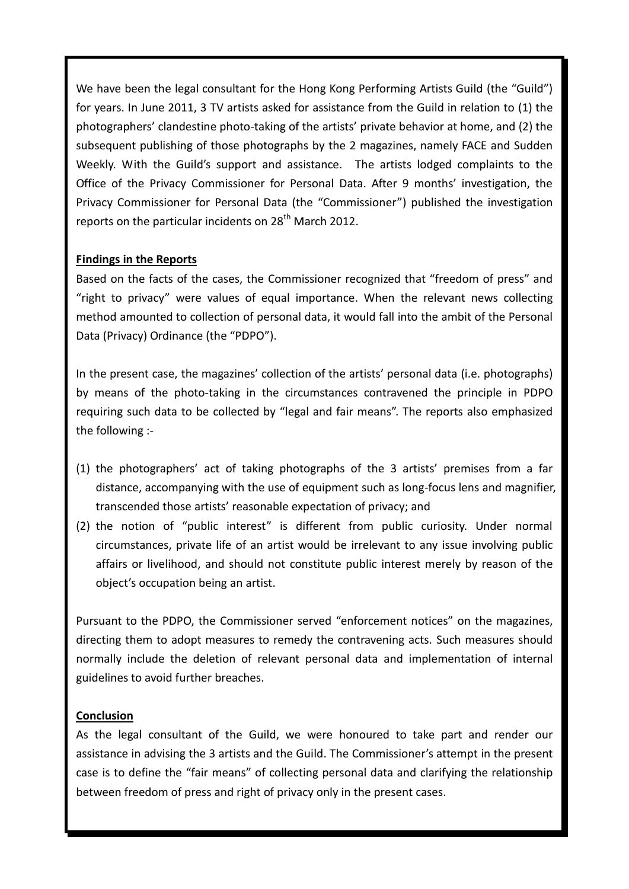We have been the legal consultant for the Hong Kong Performing Artists Guild (the "Guild") for years. In June 2011, 3 TV artists asked for assistance from the Guild in relation to (1) the photographers' clandestine photo-taking of the artists' private behavior at home, and (2) the subsequent publishing of those photographs by the 2 magazines, namely FACE and Sudden Weekly. With the Guild's support and assistance. The artists lodged complaints to the Office of the Privacy Commissioner for Personal Data. After 9 months' investigation, the Privacy Commissioner for Personal Data (the "Commissioner") published the investigation reports on the particular incidents on  $28<sup>th</sup>$  March 2012.

#### **Findings in the Reports**

Based on the facts of the cases, the Commissioner recognized that "freedom of press" and "right to privacy" were values of equal importance. When the relevant news collecting method amounted to collection of personal data, it would fall into the ambit of the Personal Data (Privacy) Ordinance (the "PDPO").

In the present case, the magazines' collection of the artists' personal data (i.e. photographs) by means of the photo-taking in the circumstances contravened the principle in PDPO requiring such data to be collected by "legal and fair means". The reports also emphasized the following :-

- (1) the photographers' act of taking photographs of the 3 artists' premises from a far distance, accompanying with the use of equipment such as long-focus lens and magnifier, transcended those artists' reasonable expectation of privacy; and
- (2) the notion of "public interest" is different from public curiosity. Under normal circumstances, private life of an artist would be irrelevant to any issue involving public affairs or livelihood, and should not constitute public interest merely by reason of the object's occupation being an artist.

Pursuant to the PDPO, the Commissioner served "enforcement notices" on the magazines, directing them to adopt measures to remedy the contravening acts. Such measures should normally include the deletion of relevant personal data and implementation of internal guidelines to avoid further breaches.

### **Conclusion**

As the legal consultant of the Guild, we were honoured to take part and render our assistance in advising the 3 artists and the Guild. The Commissioner's attempt in the present case is to define the "fair means" of collecting personal data and clarifying the relationship between freedom of press and right of privacy only in the present cases.